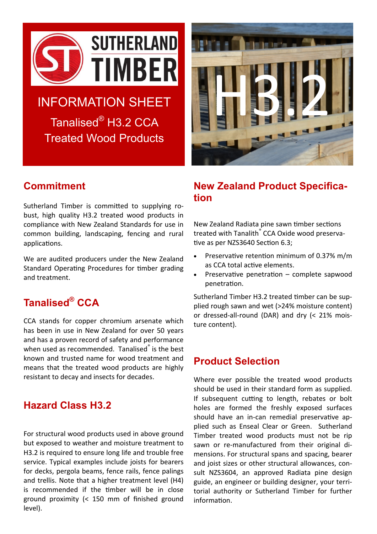

# INFORMATION SHEET Tanalised® H3.2 CCA

Treated Wood Products



## **Commitment**

Sutherland Timber is committed to supplying robust, high quality H3.2 treated wood products in compliance with New Zealand Standards for use in common building, landscaping, fencing and rural applications.

We are audited producers under the New Zealand Standard Operating Procedures for timber grading and treatment.

## **Tanalised® CCA**

CCA stands for copper chromium arsenate which has been in use in New Zealand for over 50 years and has a proven record of safety and performance when used as recommended. Tanalised<sup>®</sup> is the best known and trusted name for wood treatment and means that the treated wood products are highly resistant to decay and insects for decades.

#### **Hazard Class H3.2**

For structural wood products used in above ground but exposed to weather and moisture treatment to H3.2 is required to ensure long life and trouble free service. Typical examples include joists for bearers for decks, pergola beams, fence rails, fence palings and trellis. Note that a higher treatment level (H4) is recommended if the timber will be in close ground proximity (< 150 mm of finished ground level).

#### **New Zealand Product Specification**

New Zealand Radiata pine sawn timber sections treated with Tanalith<sup>®</sup> CCA Oxide wood preservative as per NZS3640 Section 6.3;

- Preservative retention minimum of 0.37% m/m as CCA total active elements.
- Preservative penetration complete sapwood penetration.

Sutherland Timber H3.2 treated timber can be supplied rough sawn and wet (>24% moisture content) or dressed-all-round (DAR) and dry (< 21% moisture content).

### **Product Selection**

Where ever possible the treated wood products should be used in their standard form as supplied. If subsequent cutting to length, rebates or bolt holes are formed the freshly exposed surfaces should have an in-can remedial preservative applied such as Enseal Clear or Green. Sutherland Timber treated wood products must not be rip sawn or re-manufactured from their original dimensions. For structural spans and spacing, bearer and joist sizes or other structural allowances, consult NZS3604, an approved Radiata pine design guide, an engineer or building designer, your territorial authority or Sutherland Timber for further information.